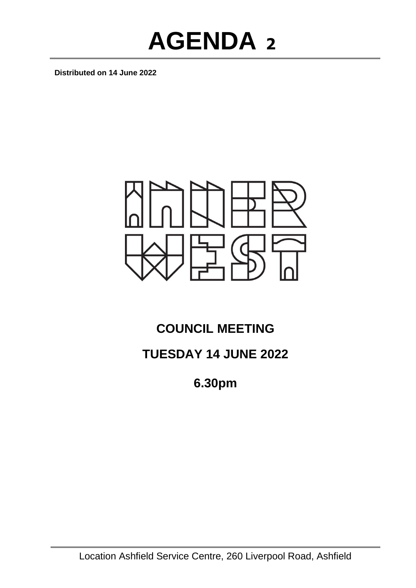

**Distributed on 14 June 2022**



# **COUNCIL MEETING**

## **TUESDAY 14 JUNE 2022**

**6.30pm**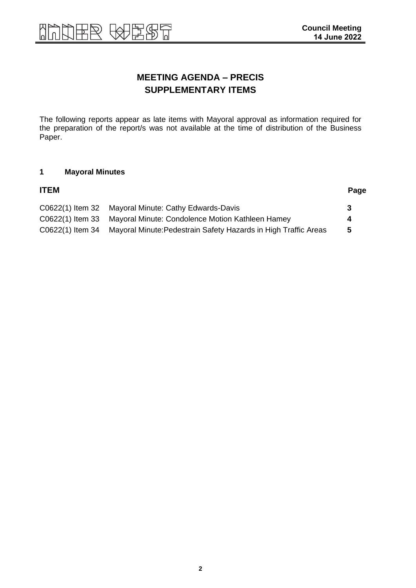## **MEETING AGENDA – PRECIS SUPPLEMENTARY ITEMS**

The following reports appear as late items with Mayoral approval as information required for the preparation of the report/s was not available at the time of distribution of the Business Paper.

#### **1 Mayoral Minutes**

| <b>ITEM</b> |                                                                                  | Page |
|-------------|----------------------------------------------------------------------------------|------|
|             | C0622(1) Item 32 Mayoral Minute: Cathy Edwards-Davis                             | -3   |
|             | C0622(1) Item 33 Mayoral Minute: Condolence Motion Kathleen Hamey                |      |
|             | C0622(1) Item 34 Mayoral Minute: Pedestrain Safety Hazards in High Traffic Areas | 5    |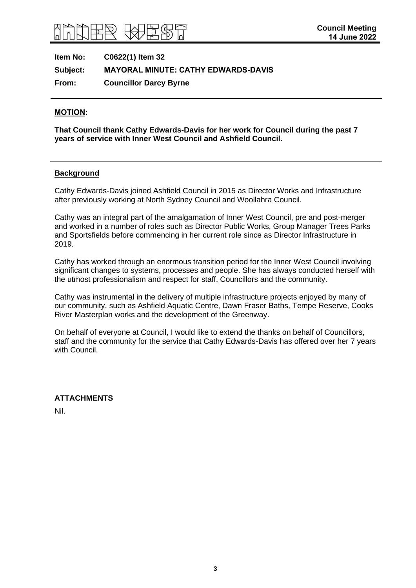

**Item No: C0622(1) Item 32 Subject: MAYORAL MINUTE: CATHY EDWARDS-DAVIS From: Councillor Darcy Byrne**

#### **MOTION:**

**That Council thank Cathy Edwards-Davis for her work for Council during the past 7 years of service with Inner West Council and Ashfield Council.** 

#### **Background**

Cathy Edwards-Davis joined Ashfield Council in 2015 as Director Works and Infrastructure after previously working at North Sydney Council and Woollahra Council.

Cathy was an integral part of the amalgamation of Inner West Council, pre and post-merger and worked in a number of roles such as Director Public Works, Group Manager Trees Parks and Sportsfields before commencing in her current role since as Director Infrastructure in 2019.

Cathy has worked through an enormous transition period for the Inner West Council involving significant changes to systems, processes and people. She has always conducted herself with the utmost professionalism and respect for staff, Councillors and the community.

Cathy was instrumental in the delivery of multiple infrastructure projects enjoyed by many of our community, such as Ashfield Aquatic Centre, Dawn Fraser Baths, Tempe Reserve, Cooks River Masterplan works and the development of the Greenway.

On behalf of everyone at Council, I would like to extend the thanks on behalf of Councillors, staff and the community for the service that Cathy Edwards-Davis has offered over her 7 years with Council.

#### **ATTACHMENTS**

Nil.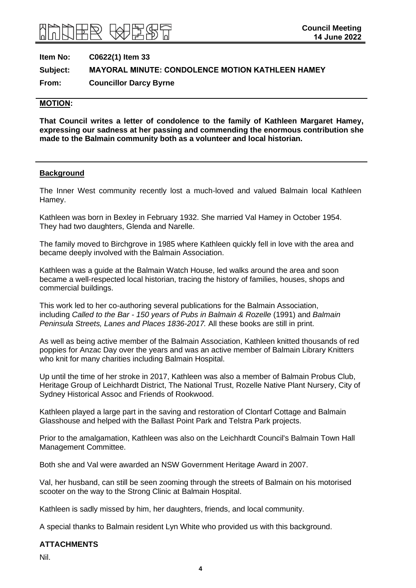# 田亥

<span id="page-3-0"></span>**Item No: C0622(1) Item 33 Subject: MAYORAL MINUTE: CONDOLENCE MOTION KATHLEEN HAMEY From: Councillor Darcy Byrne**

#### **MOTION:**

**That Council writes a letter of condolence to the family of Kathleen Margaret Hamey, expressing our sadness at her passing and commending the enormous contribution she made to the Balmain community both as a volunteer and local historian.** 

#### **Background**

The Inner West community recently lost a much-loved and valued Balmain local Kathleen Hamey.

Kathleen was born in Bexley in February 1932. She married Val Hamey in October 1954. They had two daughters, Glenda and Narelle.

The family moved to Birchgrove in 1985 where Kathleen quickly fell in love with the area and became deeply involved with the Balmain Association.

Kathleen was a guide at the Balmain Watch House, led walks around the area and soon became a well-respected local historian, tracing the history of families, houses, shops and commercial buildings.

This work led to her co-authoring several publications for the Balmain Association, including *Called to the Bar - 150 years of Pubs in Balmain & Rozelle* (1991) and *Balmain Peninsula Streets, Lanes and Places 1836-2017.* All these books are still in print.

As well as being active member of the Balmain Association, Kathleen knitted thousands of red poppies for Anzac Day over the years and was an active member of Balmain Library Knitters who knit for many charities including Balmain Hospital.

Up until the time of her stroke in 2017, Kathleen was also a member of Balmain Probus Club, Heritage Group of Leichhardt District, The National Trust, Rozelle Native Plant Nursery, City of Sydney Historical Assoc and Friends of Rookwood.

Kathleen played a large part in the saving and restoration of Clontarf Cottage and Balmain Glasshouse and helped with the Ballast Point Park and Telstra Park projects.

Prior to the amalgamation, Kathleen was also on the Leichhardt Council's Balmain Town Hall Management Committee.

Both she and Val were awarded an NSW Government Heritage Award in 2007.

Val, her husband, can still be seen zooming through the streets of Balmain on his motorised scooter on the way to the Strong Clinic at Balmain Hospital.

Kathleen is sadly missed by him, her daughters, friends, and local community.

A special thanks to Balmain resident Lyn White who provided us with this background.

#### **ATTACHMENTS**

Nil.